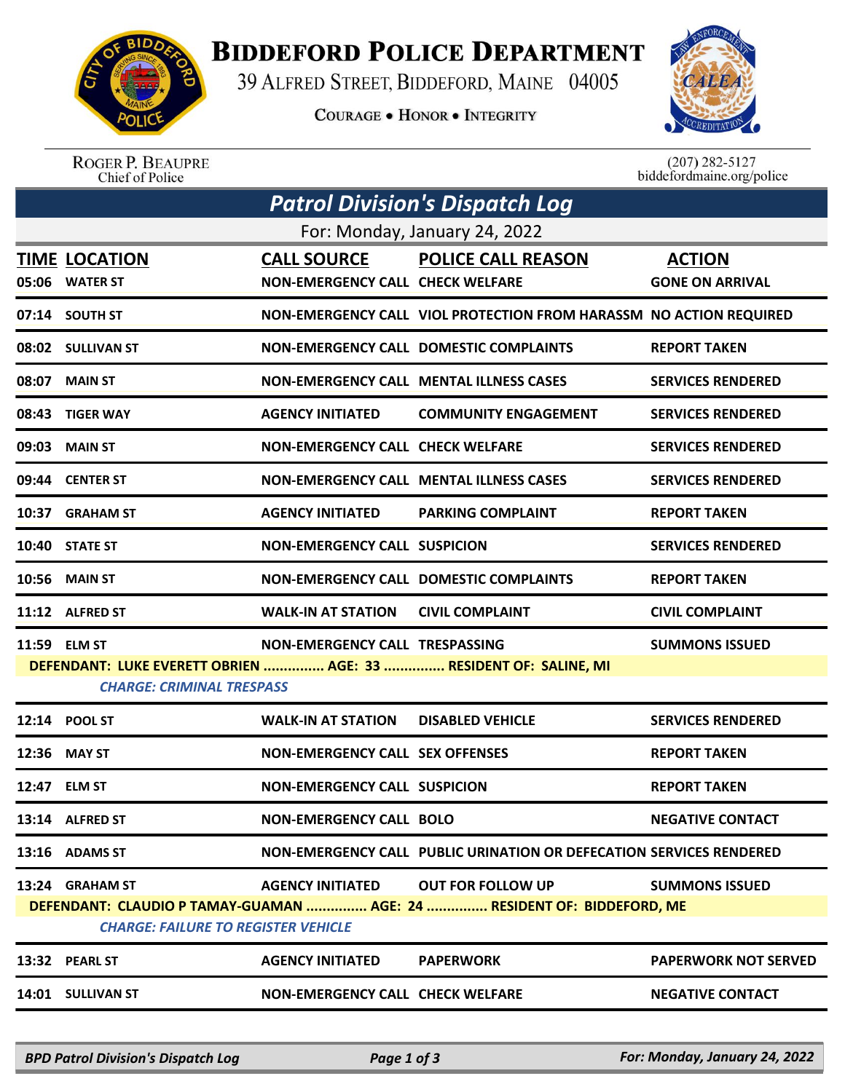

## **BIDDEFORD POLICE DEPARTMENT**

39 ALFRED STREET, BIDDEFORD, MAINE 04005

**COURAGE . HONOR . INTEGRITY** 



ROGER P. BEAUPRE<br>Chief of Police

 $(207)$  282-5127<br>biddefordmaine.org/police

| <b>Patrol Division's Dispatch Log</b>                                                                                |                                        |                                                               |                                                                     |                                         |  |  |  |
|----------------------------------------------------------------------------------------------------------------------|----------------------------------------|---------------------------------------------------------------|---------------------------------------------------------------------|-----------------------------------------|--|--|--|
| For: Monday, January 24, 2022                                                                                        |                                        |                                                               |                                                                     |                                         |  |  |  |
|                                                                                                                      | <b>TIME LOCATION</b><br>05:06 WATER ST | <b>CALL SOURCE</b><br><b>NON-EMERGENCY CALL CHECK WELFARE</b> | <b>POLICE CALL REASON</b>                                           | <b>ACTION</b><br><b>GONE ON ARRIVAL</b> |  |  |  |
|                                                                                                                      | 07:14 SOUTH ST                         |                                                               | NON-EMERGENCY CALL VIOL PROTECTION FROM HARASSM NO ACTION REQUIRED  |                                         |  |  |  |
|                                                                                                                      | 08:02 SULLIVAN ST                      |                                                               | <b>NON-EMERGENCY CALL DOMESTIC COMPLAINTS</b>                       | <b>REPORT TAKEN</b>                     |  |  |  |
|                                                                                                                      | 08:07 MAIN ST                          |                                                               | <b>NON-EMERGENCY CALL MENTAL ILLNESS CASES</b>                      | <b>SERVICES RENDERED</b>                |  |  |  |
|                                                                                                                      | 08:43 TIGER WAY                        | <b>AGENCY INITIATED</b>                                       | <b>COMMUNITY ENGAGEMENT</b>                                         | <b>SERVICES RENDERED</b>                |  |  |  |
|                                                                                                                      | 09:03 MAIN ST                          | <b>NON-EMERGENCY CALL CHECK WELFARE</b>                       |                                                                     | <b>SERVICES RENDERED</b>                |  |  |  |
|                                                                                                                      | 09:44 CENTER ST                        |                                                               | <b>NON-EMERGENCY CALL MENTAL ILLNESS CASES</b>                      | <b>SERVICES RENDERED</b>                |  |  |  |
| 10:37                                                                                                                | <b>GRAHAM ST</b>                       | <b>AGENCY INITIATED</b>                                       | <b>PARKING COMPLAINT</b>                                            | <b>REPORT TAKEN</b>                     |  |  |  |
|                                                                                                                      | 10:40 STATE ST                         | <b>NON-EMERGENCY CALL SUSPICION</b>                           |                                                                     | <b>SERVICES RENDERED</b>                |  |  |  |
|                                                                                                                      | <b>10:56 MAIN ST</b>                   |                                                               | <b>NON-EMERGENCY CALL DOMESTIC COMPLAINTS</b>                       | <b>REPORT TAKEN</b>                     |  |  |  |
|                                                                                                                      | 11:12 ALFRED ST                        | <b>WALK-IN AT STATION</b>                                     | <b>CIVIL COMPLAINT</b>                                              | <b>CIVIL COMPLAINT</b>                  |  |  |  |
|                                                                                                                      | 11:59 ELM ST                           | NON-EMERGENCY CALL TRESPASSING                                |                                                                     | <b>SUMMONS ISSUED</b>                   |  |  |  |
| DEFENDANT: LUKE EVERETT OBRIEN  AGE: 33  RESIDENT OF: SALINE, MI<br><b>CHARGE: CRIMINAL TRESPASS</b>                 |                                        |                                                               |                                                                     |                                         |  |  |  |
|                                                                                                                      | 12:14 POOL ST                          | <b>WALK-IN AT STATION</b>                                     | <b>DISABLED VEHICLE</b>                                             | <b>SERVICES RENDERED</b>                |  |  |  |
|                                                                                                                      | 12:36 MAY ST                           | <b>NON-EMERGENCY CALL SEX OFFENSES</b>                        |                                                                     | <b>REPORT TAKEN</b>                     |  |  |  |
| 12:47                                                                                                                | <b>ELM ST</b>                          | <b>NON-EMERGENCY CALL SUSPICION</b>                           |                                                                     | <b>REPORT TAKEN</b>                     |  |  |  |
|                                                                                                                      | 13:14 ALFRED ST                        | <b>NON-EMERGENCY CALL BOLO</b>                                |                                                                     | <b>NEGATIVE CONTACT</b>                 |  |  |  |
|                                                                                                                      | 13:16 ADAMS ST                         |                                                               | NON-EMERGENCY CALL PUBLIC URINATION OR DEFECATION SERVICES RENDERED |                                         |  |  |  |
|                                                                                                                      | 13:24 GRAHAM ST                        | <b>AGENCY INITIATED</b>                                       | <b>OUT FOR FOLLOW UP</b>                                            | <b>SUMMONS ISSUED</b>                   |  |  |  |
| DEFENDANT: CLAUDIO P TAMAY-GUAMAN  AGE: 24  RESIDENT OF: BIDDEFORD, ME<br><b>CHARGE: FAILURE TO REGISTER VEHICLE</b> |                                        |                                                               |                                                                     |                                         |  |  |  |
|                                                                                                                      | 13:32 PEARL ST                         | <b>AGENCY INITIATED</b>                                       | <b>PAPERWORK</b>                                                    | <b>PAPERWORK NOT SERVED</b>             |  |  |  |
|                                                                                                                      | 14:01 SULLIVAN ST                      | <b>NON-EMERGENCY CALL CHECK WELFARE</b>                       |                                                                     | <b>NEGATIVE CONTACT</b>                 |  |  |  |
|                                                                                                                      |                                        |                                                               |                                                                     |                                         |  |  |  |

*BPD Patrol Division's Dispatch Log Page 1 of 3 For: Monday, January 24, 2022*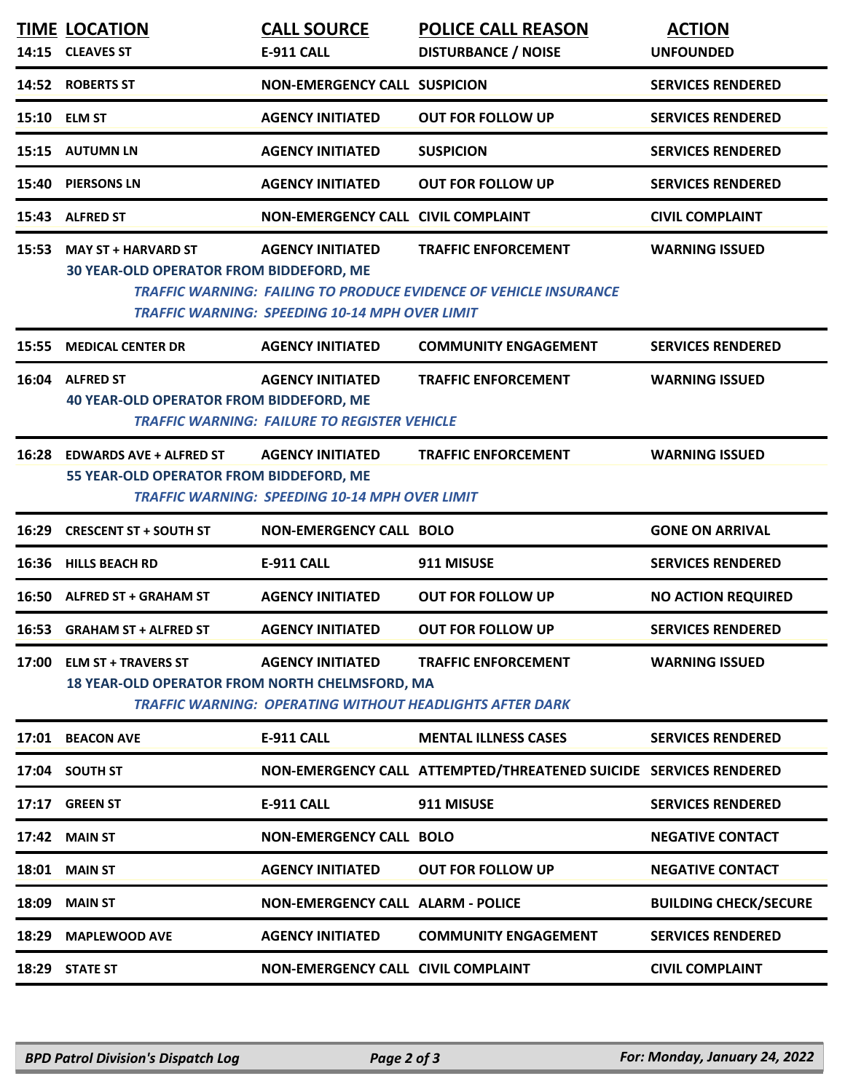|       | <b>TIME LOCATION</b>                                                               | <b>CALL SOURCE</b>                                                               | <b>POLICE CALL REASON</b>                                                                              | <b>ACTION</b>                |
|-------|------------------------------------------------------------------------------------|----------------------------------------------------------------------------------|--------------------------------------------------------------------------------------------------------|------------------------------|
|       | 14:15 CLEAVES ST                                                                   | E-911 CALL                                                                       | <b>DISTURBANCE / NOISE</b>                                                                             | <b>UNFOUNDED</b>             |
|       | 14:52 ROBERTS ST                                                                   | <b>NON-EMERGENCY CALL SUSPICION</b>                                              |                                                                                                        | <b>SERVICES RENDERED</b>     |
|       | 15:10 ELM ST                                                                       | <b>AGENCY INITIATED</b>                                                          | <b>OUT FOR FOLLOW UP</b>                                                                               | <b>SERVICES RENDERED</b>     |
|       | 15:15 AUTUMN LN                                                                    | <b>AGENCY INITIATED</b>                                                          | <b>SUSPICION</b>                                                                                       | <b>SERVICES RENDERED</b>     |
| 15:40 | <b>PIERSONS LN</b>                                                                 | <b>AGENCY INITIATED</b>                                                          | <b>OUT FOR FOLLOW UP</b>                                                                               | <b>SERVICES RENDERED</b>     |
| 15:43 | <b>ALFRED ST</b>                                                                   | <b>NON-EMERGENCY CALL CIVIL COMPLAINT</b>                                        |                                                                                                        | <b>CIVIL COMPLAINT</b>       |
| 15:53 | <b>MAY ST + HARVARD ST</b><br><b>30 YEAR-OLD OPERATOR FROM BIDDEFORD, ME</b>       | <b>AGENCY INITIATED</b><br><b>TRAFFIC WARNING: SPEEDING 10-14 MPH OVER LIMIT</b> | <b>TRAFFIC ENFORCEMENT</b><br><b>TRAFFIC WARNING: FAILING TO PRODUCE EVIDENCE OF VEHICLE INSURANCE</b> | <b>WARNING ISSUED</b>        |
| 15:55 | <b>MEDICAL CENTER DR</b>                                                           | <b>AGENCY INITIATED</b>                                                          | <b>COMMUNITY ENGAGEMENT</b>                                                                            | <b>SERVICES RENDERED</b>     |
|       | 16:04 ALFRED ST<br><b>40 YEAR-OLD OPERATOR FROM BIDDEFORD, ME</b>                  | <b>AGENCY INITIATED</b><br><b>TRAFFIC WARNING: FAILURE TO REGISTER VEHICLE</b>   | <b>TRAFFIC ENFORCEMENT</b>                                                                             | <b>WARNING ISSUED</b>        |
|       | 16:28 EDWARDS AVE + ALFRED ST<br>55 YEAR-OLD OPERATOR FROM BIDDEFORD, ME           | <b>AGENCY INITIATED</b><br><b>TRAFFIC WARNING: SPEEDING 10-14 MPH OVER LIMIT</b> | <b>TRAFFIC ENFORCEMENT</b>                                                                             | <b>WARNING ISSUED</b>        |
| 16:29 | <b>CRESCENT ST + SOUTH ST</b>                                                      | <b>NON-EMERGENCY CALL BOLO</b>                                                   |                                                                                                        | <b>GONE ON ARRIVAL</b>       |
|       | 16:36 HILLS BEACH RD                                                               | <b>E-911 CALL</b>                                                                | 911 MISUSE                                                                                             | <b>SERVICES RENDERED</b>     |
|       | 16:50 ALFRED ST + GRAHAM ST                                                        | <b>AGENCY INITIATED</b>                                                          | <b>OUT FOR FOLLOW UP</b>                                                                               | <b>NO ACTION REQUIRED</b>    |
|       | 16:53 GRAHAM ST + ALFRED ST                                                        | <b>AGENCY INITIATED</b>                                                          | <b>OUT FOR FOLLOW UP</b>                                                                               | <b>SERVICES RENDERED</b>     |
|       | 17:00 ELM ST + TRAVERS ST<br><b>18 YEAR-OLD OPERATOR FROM NORTH CHELMSFORD, MA</b> | <b>AGENCY INITIATED</b>                                                          | <b>TRAFFIC ENFORCEMENT</b><br><b>TRAFFIC WARNING: OPERATING WITHOUT HEADLIGHTS AFTER DARK</b>          | <b>WARNING ISSUED</b>        |
|       | 17:01 BEACON AVE                                                                   | E-911 CALL                                                                       | <b>MENTAL ILLNESS CASES</b>                                                                            | <b>SERVICES RENDERED</b>     |
|       | 17:04 SOUTH ST                                                                     |                                                                                  | NON-EMERGENCY CALL ATTEMPTED/THREATENED SUICIDE SERVICES RENDERED                                      |                              |
|       | 17:17 GREEN ST                                                                     | E-911 CALL                                                                       | 911 MISUSE                                                                                             | <b>SERVICES RENDERED</b>     |
|       | <b>17:42 MAIN ST</b>                                                               | <b>NON-EMERGENCY CALL BOLO</b>                                                   |                                                                                                        | <b>NEGATIVE CONTACT</b>      |
|       | 18:01 MAIN ST                                                                      | <b>AGENCY INITIATED</b>                                                          | <b>OUT FOR FOLLOW UP</b>                                                                               | <b>NEGATIVE CONTACT</b>      |
|       | <b>18:09 MAIN ST</b>                                                               | <b>NON-EMERGENCY CALL ALARM - POLICE</b>                                         |                                                                                                        | <b>BUILDING CHECK/SECURE</b> |
|       | 18:29 MAPLEWOOD AVE                                                                | <b>AGENCY INITIATED</b>                                                          | <b>COMMUNITY ENGAGEMENT</b>                                                                            | <b>SERVICES RENDERED</b>     |
|       | 18:29 STATE ST                                                                     | <b>NON-EMERGENCY CALL CIVIL COMPLAINT</b>                                        |                                                                                                        | <b>CIVIL COMPLAINT</b>       |
|       |                                                                                    |                                                                                  |                                                                                                        |                              |